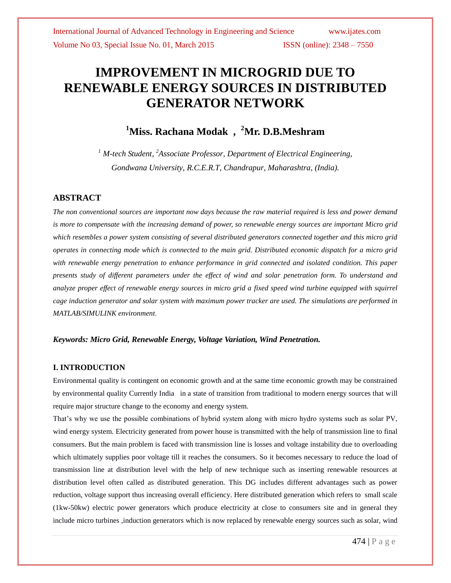# **IMPROVEMENT IN MICROGRID DUE TO RENEWABLE ENERGY SOURCES IN DISTRIBUTED GENERATOR NETWORK**

# **<sup>1</sup>Miss. Rachana Modak , <sup>2</sup>Mr. D.B.Meshram**

<sup>1</sup> M-tech Student, <sup>2</sup>Associate Professor, Department of Electrical Engineering, *Gondwana University, R.C.E.R.T, Chandrapur, Maharashtra, (India).*

#### **ABSTRACT**

*The non conventional sources are important now days because the raw material required is less and power demand is more to compensate with the increasing demand of power, so renewable energy sources are important Micro grid which resembles a power system consisting of several distributed generators connected together and this micro grid operates in connecting mode which is connected to the main grid. Distributed economic dispatch for a micro grid with renewable energy penetration to enhance performance in grid connected and isolated condition. This paper presents study of different parameters under the effect of wind and solar penetration form. To understand and analyze proper effect of renewable energy sources in micro grid a fixed speed wind turbine equipped with squirrel cage induction generator and solar system with maximum power tracker are used. The simulations are performed in MATLAB/SIMULINK environment*.

#### *Keywords: Micro Grid, Renewable Energy, Voltage Variation, Wind Penetration.*

#### **I. INTRODUCTION**

Environmental quality is contingent on economic growth and at the same time economic growth may be constrained by environmental quality Currently India in a state of transition from traditional to modern energy sources that will require major structure change to the economy and energy system.

That's why we use the possible combinations of hybrid system along with micro hydro systems such as solar PV, wind energy system. Electricity generated from power house is transmitted with the help of transmission line to final consumers. But the main problem is faced with transmission line is losses and voltage instability due to overloading which ultimately supplies poor voltage till it reaches the consumers. So it becomes necessary to reduce the load of transmission line at distribution level with the help of new technique such as inserting renewable resources at distribution level often called as distributed generation. This DG includes different advantages such as power reduction, voltage support thus increasing overall efficiency. Here distributed generation which refers to small scale (1kw-50kw) electric power generators which produce electricity at close to consumers site and in general they include micro turbines ,induction generators which is now replaced by renewable energy sources such as solar, wind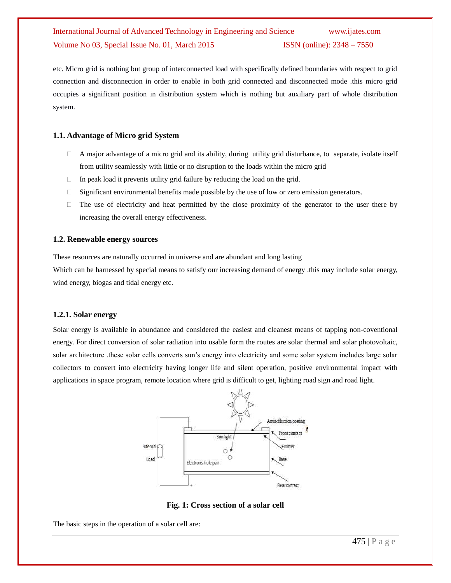etc. Micro grid is nothing but group of interconnected load with specifically defined boundaries with respect to grid connection and disconnection in order to enable in both grid connected and disconnected mode .this micro grid occupies a significant position in distribution system which is nothing but auxiliary part of whole distribution system.

#### **1.1. Advantage of Micro grid System**

- $\Box$  A major advantage of a micro grid and its ability, during utility grid disturbance, to separate, isolate itself from utility seamlessly with little or no disruption to the loads within the micro grid
- $\Box$  In peak load it prevents utility grid failure by reducing the load on the grid.
- $\Box$  Significant environmental benefits made possible by the use of low or zero emission generators.
- $\Box$  The use of electricity and heat permitted by the close proximity of the generator to the user there by increasing the overall energy effectiveness.

#### **1.2. Renewable energy sources**

These resources are naturally occurred in universe and are abundant and long lasting

Which can be harnessed by special means to satisfy our increasing demand of energy .this may include solar energy, wind energy, biogas and tidal energy etc.

#### **1.2.1. Solar energy**

Solar energy is available in abundance and considered the easiest and cleanest means of tapping non-coventional energy. For direct conversion of solar radiation into usable form the routes are solar thermal and solar photovoltaic, solar architecture .these solar cells converts sun's energy into electricity and some solar system includes large solar collectors to convert into electricity having longer life and silent operation, positive environmental impact with applications in space program, remote location where grid is difficult to get, lighting road sign and road light.



**Fig. 1: Cross section of a solar cell**

The basic steps in the operation of a solar cell are: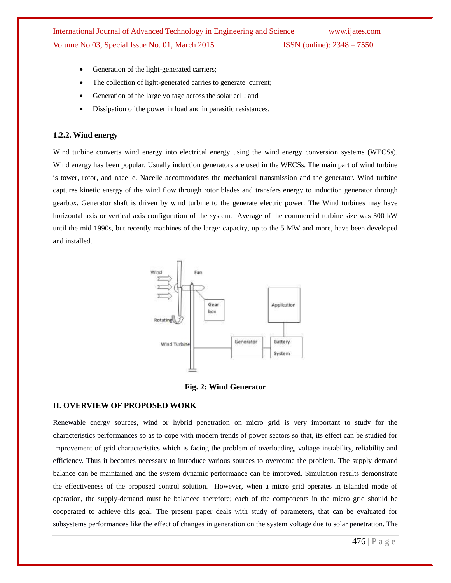- Generation of the light-generated carriers;
- The collection of light-generated carries to generate current;
- Generation of the large voltage across the solar cell; and
- Dissipation of the power in load and in parasitic resistances.

#### **1.2.2. Wind energy**

Wind turbine converts wind energy into electrical energy using the wind energy conversion systems (WECSs). Wind energy has been popular. Usually induction generators are used in the WECSs. The main part of wind turbine is tower, rotor, and nacelle. Nacelle accommodates the mechanical transmission and the generator. Wind turbine captures kinetic energy of the wind flow through rotor blades and transfers energy to induction generator through gearbox. Generator shaft is driven by wind turbine to the generate electric power. The Wind turbines may have horizontal axis or vertical axis configuration of the system. Average of the commercial turbine size was 300 kW until the mid 1990s, but recently machines of the larger capacity, up to the 5 MW and more, have been developed and installed.



**Fig. 2: Wind Generator**

#### **II. OVERVIEW OF PROPOSED WORK**

Renewable energy sources, wind or hybrid penetration on micro grid is very important to study for the characteristics performances so as to cope with modern trends of power sectors so that, its effect can be studied for improvement of grid characteristics which is facing the problem of overloading, voltage instability, reliability and efficiency. Thus it becomes necessary to introduce various sources to overcome the problem. The supply demand balance can be maintained and the system dynamic performance can be improved. Simulation results demonstrate the effectiveness of the proposed control solution. However, when a micro grid operates in islanded mode of operation, the supply-demand must be balanced therefore; each of the components in the micro grid should be cooperated to achieve this goal. The present paper deals with study of parameters, that can be evaluated for subsystems performances like the effect of changes in generation on the system voltage due to solar penetration. The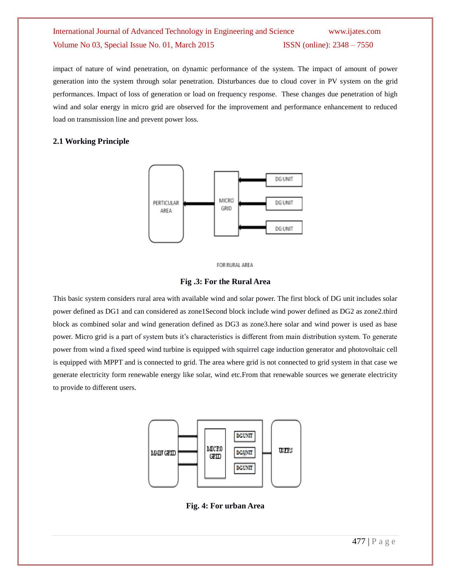impact of nature of wind penetration, on dynamic performance of the system. The impact of amount of power generation into the system through solar penetration. Disturbances due to cloud cover in PV system on the grid performances. Impact of loss of generation or load on frequency response. These changes due penetration of high wind and solar energy in micro grid are observed for the improvement and performance enhancement to reduced load on transmission line and prevent power loss.

#### **2.1 Working Principle**





#### **Fig .3: For the Rural Area**

This basic system considers rural area with available wind and solar power. The first block of DG unit includes solar power defined as DG1 and can considered as zone1Second block include wind power defined as DG2 as zone2.third block as combined solar and wind generation defined as DG3 as zone3.here solar and wind power is used as base power. Micro grid is a part of system buts it's characteristics is different from main distribution system. To generate power from wind a fixed speed wind turbine is equipped with squirrel cage induction generator and photovoltaic cell is equipped with MPPT and is connected to grid. The area where grid is not connected to grid system in that case we generate electricity form renewable energy like solar, wind etc.From that renewable sources we generate electricity to provide to different users.



**Fig. 4: For urban Area**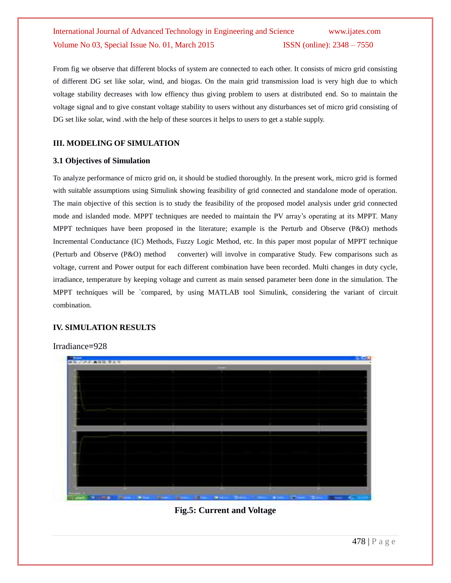From fig we observe that different blocks of system are connected to each other. It consists of micro grid consisting of different DG set like solar, wind, and biogas. On the main grid transmission load is very high due to which voltage stability decreases with low effiency thus giving problem to users at distributed end. So to maintain the voltage signal and to give constant voltage stability to users without any disturbances set of micro grid consisting of DG set like solar, wind .with the help of these sources it helps to users to get a stable supply.

#### **III. MODELING OF SIMULATION**

#### **3.1 Objectives of Simulation**

To analyze performance of micro grid on, it should be studied thoroughly. In the present work, micro grid is formed with suitable assumptions using Simulink showing feasibility of grid connected and standalone mode of operation. The main objective of this section is to study the feasibility of the proposed model analysis under grid connected mode and islanded mode. MPPT techniques are needed to maintain the PV array's operating at its MPPT. Many MPPT techniques have been proposed in the literature; example is the Perturb and Observe (P&O) methods Incremental Conductance (IC) Methods, Fuzzy Logic Method, etc. In this paper most popular of MPPT technique (Perturb and Observe (P&O) method converter) will involve in comparative Study. Few comparisons such as voltage, current and Power output for each different combination have been recorded. Multi changes in duty cycle, irradiance, temperature by keeping voltage and current as main sensed parameter been done in the simulation. The MPPT techniques will be `compared, by using MATLAB tool Simulink, considering the variant of circuit combination.

#### **IV. SIMULATION RESULTS**

Irradiance**=**928



**Fig.5: Current and Voltage**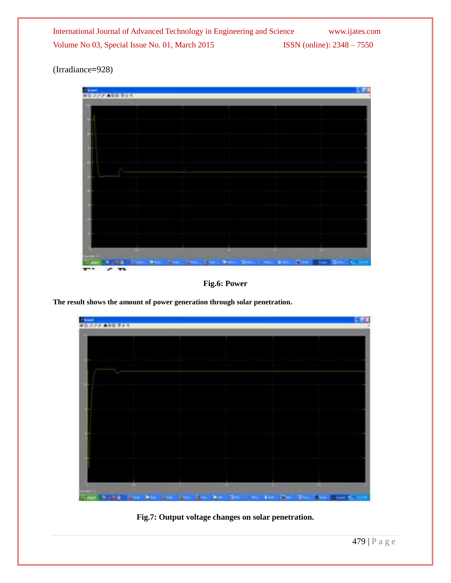(Irradiance**=**928)



**Fig.6: Power**

**The result shows the amount of power generation through solar penetration.**



**Fig.7: Output voltage changes on solar penetration.**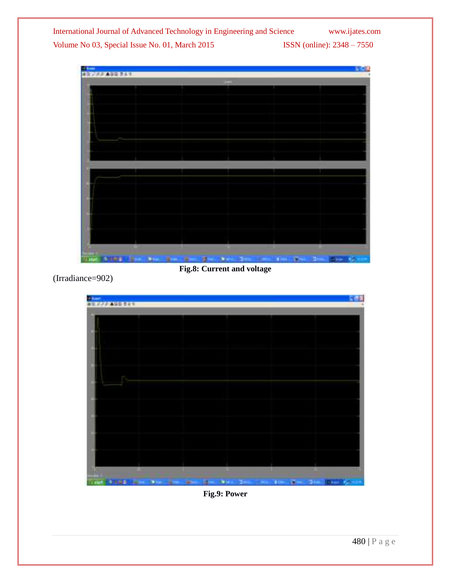

**Fig.8: Current and voltage**

(Irradiance=902)



**Fig.9: Power**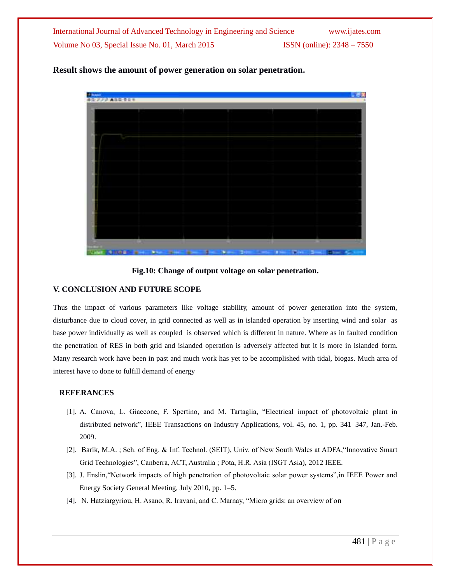

#### **Result shows the amount of power generation on solar penetration.**

**Fig.10: Change of output voltage on solar penetration.**

#### **V. CONCLUSION AND FUTURE SCOPE**

Thus the impact of various parameters like voltage stability, amount of power generation into the system, disturbance due to cloud cover, in grid connected as well as in islanded operation by inserting wind and solar as base power individually as well as coupled is observed which is different in nature. Where as in faulted condition the penetration of RES in both grid and islanded operation is adversely affected but it is more in islanded form. Many research work have been in past and much work has yet to be accomplished with tidal, biogas. Much area of interest have to done to fulfill demand of energy

#### **REFERANCES**

- [1]. A. Canova, L. Giaccone, F. Spertino, and M. Tartaglia, "Electrical impact of photovoltaic plant in distributed network", IEEE Transactions on Industry Applications, vol. 45, no. 1, pp. 341–347, Jan.-Feb. 2009.
- [2]. Barik, M.A. ; Sch. of Eng. & Inf. Technol. (SEIT), Univ. of New South Wales at ADFA,"Innovative Smart Grid Technologies", Canberra, ACT, Australia ; Pota, H.R. Asia (ISGT Asia), 2012 IEEE.
- [3]. J. Enslin,"Network impacts of high penetration of photovoltaic solar power systems",in IEEE Power and Energy Society General Meeting, July 2010, pp. 1–5.
- [4]. N. Hatziargyriou, H. Asano, R. Iravani, and C. Marnay, "Micro grids: an overview of on